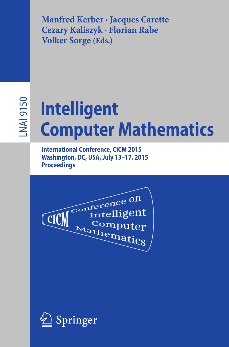**Manfred Kerber · Jacques Carette Cezary Kaliszyk · Florian Rabe Volker Sorge (Eds.)**

# **Intelligent Computer Mathematics**

**International Conference, CICM 2015 Washington, DC, USA, July 13–17, 2015 Proceedings**



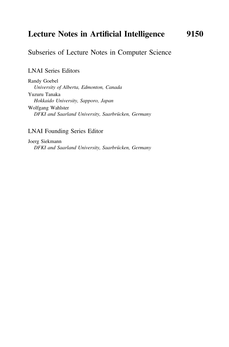## Lecture Notes in Artificial Intelligence 9150

### Subseries of Lecture Notes in Computer Science

LNAI Series Editors

Randy Goebel University of Alberta, Edmonton, Canada Yuzuru Tanaka Hokkaido University, Sapporo, Japan Wolfgang Wahlster DFKI and Saarland University, Saarbrücken, Germany

### LNAI Founding Series Editor

Joerg Siekmann DFKI and Saarland University, Saarbrücken, Germany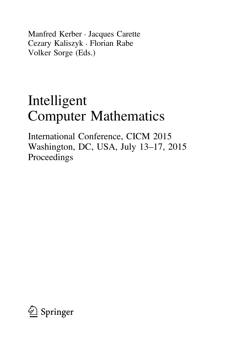Manfred Kerber • Jacques Carette Cezary Kaliszyk • Florian Rabe Volker Sorge (Eds.)

## Intelligent Computer Mathematics

International Conference, CICM 2015 Washington, DC, USA, July 13–17, 2015 Proceedings

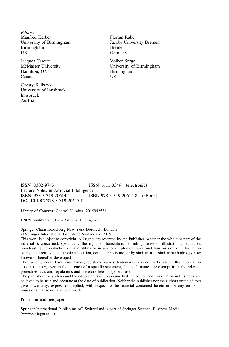**Editors** Manfred Kerber University of Birmingham Birmingham UK

Jacques Carette McMaster University Hamilton, ON Canada

Cezary Kaliszyk University of Innsbruck Innsbruck Austria

Florian Rabe Jacobs University Bremen Bremen Germany

Volker Sorge University of Birmingham Birmingham UK

ISSN 0302-9743 ISSN 1611-3349 (electronic) Lecture Notes in Artificial Intelligence<br>ISBN 978-3-319-20614-1 ISI ISBN 978-3-319-20615-8 (eBook) DOI 10.1007/978-3-319-20615-8

Library of Congress Control Number: 2015942531

LNCS Sublibrary: SL7 – Artificial Intelligence

Springer Cham Heidelberg New York Dordrecht London

© Springer International Publishing Switzerland 2015

This work is subject to copyright. All rights are reserved by the Publisher, whether the whole or part of the material is concerned, specifically the rights of translation, reprinting, reuse of illustrations, recitation, broadcasting, reproduction on microfilms or in any other physical way, and transmission or information storage and retrieval, electronic adaptation, computer software, or by similar or dissimilar methodology now known or hereafter developed.

The use of general descriptive names, registered names, trademarks, service marks, etc. in this publication does not imply, even in the absence of a specific statement, that such names are exempt from the relevant protective laws and regulations and therefore free for general use.

The publisher, the authors and the editors are safe to assume that the advice and information in this book are believed to be true and accurate at the date of publication. Neither the publisher nor the authors or the editors give a warranty, express or implied, with respect to the material contained herein or for any errors or omissions that may have been made.

Printed on acid-free paper

Springer International Publishing AG Switzerland is part of Springer Science+Business Media (www.springer.com)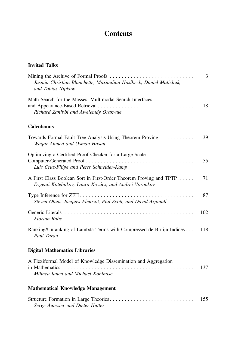### **Contents**

#### Invited Talks

| Mining the Archive of Formal Proofs<br>Jasmin Christian Blanchette, Maximilian Haslbeck, Daniel Matichuk,<br>and Tobias Nipkow | 3   |
|--------------------------------------------------------------------------------------------------------------------------------|-----|
| Math Search for the Masses: Multimodal Search Interfaces<br>Richard Zanibbi and Awelemdy Orakwue                               | 18  |
| <b>Calculemus</b>                                                                                                              |     |
| Towards Formal Fault Tree Analysis Using Theorem Proving<br>Waqar Ahmed and Osman Hasan                                        | 39  |
| Optimizing a Certified Proof Checker for a Large-Scale<br>Luís Cruz-Filipe and Peter Schneider-Kamp                            | 55  |
| A First Class Boolean Sort in First-Order Theorem Proving and TPTP<br>Evgenii Kotelnikov, Laura Kovács, and Andrei Voronkov    | 71  |
| Steven Obua, Jacques Fleuriot, Phil Scott, and David Aspinall                                                                  | 87  |
| Florian Rabe                                                                                                                   | 102 |
| Ranking/Unranking of Lambda Terms with Compressed de Bruijn Indices<br>Paul Tarau                                              | 118 |
| <b>Digital Mathematics Libraries</b>                                                                                           |     |
| A Flexiformal Model of Knowledge Dissemination and Aggregation<br>Mihnea Iancu and Michael Kohlhase                            | 137 |
| <b>Mathematical Knowledge Management</b>                                                                                       |     |
| Structure Formation in Large Theories                                                                                          | 155 |

Serge Autexier and Dieter Hutter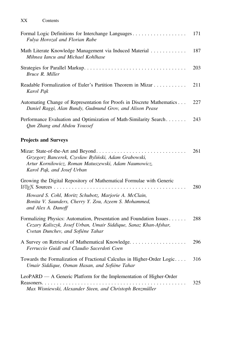| Formal Logic Definitions for Interchange Languages<br>Fulya Horozal and Florian Rabe                                                                                                                                 | 171 |
|----------------------------------------------------------------------------------------------------------------------------------------------------------------------------------------------------------------------|-----|
| Math Literate Knowledge Management via Induced Material<br>Mihnea Iancu and Michael Kohlhase                                                                                                                         | 187 |
| Bruce R. Miller                                                                                                                                                                                                      | 203 |
| Readable Formalization of Euler's Partition Theorem in Mizar<br>Karol Pąk                                                                                                                                            | 211 |
| Automating Change of Representation for Proofs in Discrete Mathematics<br>Daniel Raggi, Alan Bundy, Gudmund Grov, and Alison Pease                                                                                   | 227 |
| Performance Evaluation and Optimization of Math-Similarity Search<br>Qun Zhang and Abdou Youssef                                                                                                                     | 243 |
| <b>Projects and Surveys</b>                                                                                                                                                                                          |     |
| Mizar: State-of-the-Art and Beyond<br>Grzegorz Bancerek, Czesław Byliński, Adam Grabowski,<br>Artur Korniłowicz, Roman Matuszewski, Adam Naumowicz,<br>Karol Pak, and Josef Urban                                    | 261 |
| Growing the Digital Repository of Mathematical Formulae with Generic<br>IAT <sub>F</sub> X Sources<br>Howard S. Cohl, Moritz Schubotz, Marjorie A. McClain,<br>Bonita V. Saunders, Cherry Y. Zou, Azeem S. Mohammed, | 280 |
| and Alex A. Danoff<br>Formalizing Physics: Automation, Presentation and Foundation Issues<br>Cezary Kaliszyk, Josef Urban, Umair Siddique, Sanaz Khan-Afshar,<br>Cvetan Dunchev, and Sofiène Tahar                   | 288 |
| A Survey on Retrieval of Mathematical Knowledge.<br>Ferruccio Guidi and Claudio Sacerdoti Coen                                                                                                                       | 296 |
| Towards the Formalization of Fractional Calculus in Higher-Order Logic<br>Umair Siddique, Osman Hasan, and Sofiène Tahar                                                                                             | 316 |
| LeoPARD — A Generic Platform for the Implementation of Higher-Order                                                                                                                                                  |     |
| Reasoners<br>Max Wisniewski, Alexander Steen, and Christoph Benzmüller                                                                                                                                               | 325 |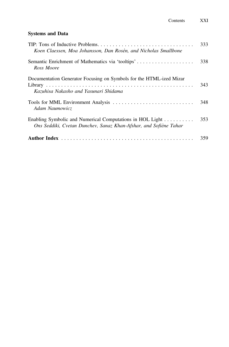#### Systems and Data

| Koen Claessen, Moa Johansson, Dan Rosén, and Nicholas Smallbone                                                                | 333 |
|--------------------------------------------------------------------------------------------------------------------------------|-----|
| Ross Moore                                                                                                                     | 338 |
| Documentation Generator Focusing on Symbols for the HTML-ized Mizar<br>Kazuhisa Nakasho and Yasunari Shidama                   | 343 |
| Tools for MML Environment Analysis<br>Adam Naumowicz                                                                           | 348 |
| Enabling Symbolic and Numerical Computations in HOL Light<br>Ons Seddiki, Cvetan Dunchev, Sanaz Khan-Afshar, and Sofiène Tahar | 353 |
|                                                                                                                                | 359 |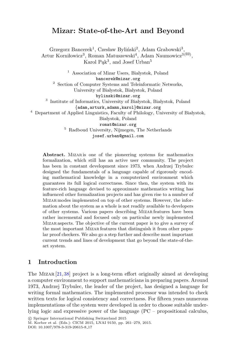## **Mizar: State-of-the-Art and Beyond**

Grzegorz Bancerek<sup>1</sup>, Czesław Byliński<sup>2</sup>, Adam Grabowski<sup>3</sup>, Artur Korniłowicz<sup>3</sup>, Roman Matuszewski<sup>4</sup>, Adam Naumowicz<sup>3( $\boxtimes$ )</sup>, Karol Pak<sup>3</sup>, and Josef Urban<sup>5</sup>

> <sup>1</sup> Association of Mizar Users, Białystok, Poland bancerek@mizar.org

<sup>2</sup> Section of Computer Systems and Teleinformatic Networks, University of Białystok, Białystok, Poland bylinski@mizar.org <sup>3</sup> Institute of Informatics, University of Białystok, Białystok, Poland

*{*adam,arturk,adamn,karol*}*@mizar.org <sup>4</sup> Department of Applied Linguistics, Faculty of Philology, University of Bia-lystok,

Białystok, Poland

romat@mizar.org <sup>5</sup> Radboud University, Nijmegen, The Netherlands

josef.urban@gmail.com

Abstract. MIZAR is one of the pioneering systems for mathematics formalization, which still has an active user community. The project has been in constant development since 1973, when Andrzej Trybulec designed the fundamentals of a language capable of rigorously encoding mathematical knowledge in a computerized environment which guarantees its full logical correctness. Since then, the system with its feature-rich language devised to approximate mathematics writing has influenced other formalization projects and has given rise to a number of Mizar modes implemented on top of other systems. However, the information about the system as a whole is not readily available to developers of other systems. Various papers describing Mizar features have been rather incremental and focused only on particular newly implemented Mizar aspects. The objective of the current paper is to give a survey of the most important Mizar features that distinguish it from other popular proof checkers. We also go a step further and describe most important current trends and lines of development that go beyond the state-of-theart system.

#### Introduction  $\mathbf{1}$

The Mizar [21,38] project is a long-term effort originally aimed at developing a computer environment to support mathematicians in preparing papers. Around 1973, Andrzej Trybulec, the leader of the project, has designed a language for writing formal mathematics. The implemented processor was intended to check written texts for logical consistency and correctness. For fifteen years numerous implementations of the system were developed in order to choose suitable underlying logic and expressive power of the language (PC – propositional calculus,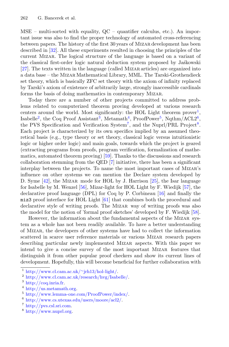$MSE$  – multi-sorted with equality, QC – quantifier calculus, etc.). An important issue was also to find the proper technology of automated cross-referencing between papers. The history of the first 30 years of Mizar development has been described in [32]. All these experiments resulted in choosing the principles of the current Mizar. The logical structure of the language is based on a variant of the classical first-order logic natural deduction system proposed by Jaskowski [27]. The texts written in the language (called Mizar articles) are organized into a data base – the Mizar Mathematical Library, MML. The Tarski-Grothendieck set theory, which is basically ZFC set theory with the axiom of infinity replaced by Tarski's axiom of existence of arbitrarily large, strongly inaccessible cardinals forms the basis of doing mathematics in contemporary Mizar.

Today there are a number of other projects committed to address problems related to computerized theorem proving developed at various research centers around the world. Most significantly: the HOL Light theorem prover<sup>1</sup>, Isabelle<sup>2</sup>, the Coq Proof Assistant<sup>3</sup>, Metamath<sup>4</sup>, ProofPower<sup>5</sup>, Nqthm/ACL2<sup>6</sup>, the PVS Specification and Verification System<sup>7</sup>, and the Nuprl/PRL Project<sup>8</sup>. Each project is characterized by its own specifics implied by an assumed theoretical basis (e.g., type theory or set theory, classical logic versus intuitionistic logic or higher order logic) and main goals, towards which the project is geared (extracting programs from proofs, program verification, formalization of mathematics, automated theorem proving) [59]. Thanks to the discussions and research collaboration stemming from the QED [7] initiative, there has been a significant interplay between the projects. To name the most important cases of Mizar's influence on other systems we can mention the Declare system developed by D. Syme  $[42]$ , the MIZAR mode for HOL by J. Harrison  $[25]$ , the Isar language for Isabelle by M. Wenzel [56], Mizar-light for HOL Light by F. Wiedijk [57], the declarative proof language (DPL) for Coq by P. Corbineau [16] and finally the miz3 proof interface for HOL Light [61] that combines both the procedural and declarative style of writing proofs. The Mizar way of writing proofs was also the model for the notion of 'formal proof sketches' developed by F. Wiedijk [58].

However, the information about the fundamental aspects of the Mizar system as a whole has not been readily available. To have a better understanding of Mizar, the developers of other systems have had to collect the information scattered in scarce user reference materials or various Mizar research papers describing particular newly implemented Mizar aspects. With this paper we intend to give a concise survey of the most important Mizar features that distinguish it from other popular proof checkers and show its current lines of development. Hopefully, this will become beneficial for further collaboration with

<sup>1</sup> [http://www.cl.cam.ac.uk/](http://www.cl.cam.ac.uk/~jrh13/hol-light/)∼jrh13/hol-light/.

<sup>2</sup> [http://www.cl.cam.ac.uk/research/hvg/Isabelle/.](http://www.cl.cam.ac.uk/research/hvg/Isabelle/)

 $3 \text{ http://coq.inria.fr.}$  $3 \text{ http://coq.inria.fr.}$  $3 \text{ http://coq.inria.fr.}$ 

<sup>4</sup> [http://us.metamath.org.](http://us.metamath.org)

<sup>5</sup> [http://www.lemma-one.com/ProofPower/index/.](http://www.lemma-one.com/ProofPower/index/)

 $^6$ [http://www.cs.utexas.edu/users/moore/acl2/.](http://www.cs.utexas.edu/users/moore/acl2/)

<sup>7</sup> [http://pvs.csl.sri.com.](http://pvs.csl.sri.com)

<sup>8</sup> [http://www.nuprl.org.](http://www.nuprl.org)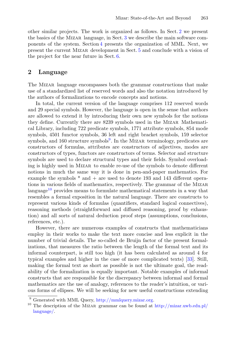other similar projects. The work is organized as follows. In Sect. 2 we present the basics of the Mizar language, in Sect. 3 we describe the main software components of the system. Section 4 presents the organization of MML. Next, we present the current Mizar development in Sect. 5 and conclude with a vision of the project for the near future in Sect. 6.

#### $\overline{2}$ Language **2 Language**

The Mizar language encompasses both the grammar constructions that make use of a standardized list of reserved words and also the notation introduced by the authors of formalizations to encode concepts and notions.

In total, the current version of the language comprises 112 reserved words and 29 special symbols. However, the language is open in the sense that authors are allowed to extend it by introducing their own new symbols for the notions they define. Currently there are 8239 symbols used in the Mizar Mathematical Library, including 722 predicate symbols, 1771 attribute symbols, 854 mode symbols, 4501 functor symbols, 36 left and right bracket symbols, 159 selector symbols, and 160 structure symbols<sup>9</sup>. In the MIZAR terminology, predicates are constructors of formulas, attributes are constructors of adjectives, modes are constructors of types, functors are constructors of terms. Selector and structure symbols are used to declare structural types and their fields. Symbol overloading is highly used in Mizar to enable re-use of the symbols to denote different notions in much the same way it is done in pen-and-paper mathematics. For example the symbols  $*$  and  $+$  are used to denote 193 and 143 different operations in various fields of mathematics, respectively. The grammar of the Mizar language<sup>10</sup> provides means to formulate mathematical statements in a way that resembles a formal exposition in the natural language. There are constructs to represent various kinds of formulas (quantifiers, standard logical connectives), reasoning methods (straightforward and diffused reasoning, proof by exhaustion) and all sorts of natural deduction proof steps (assumptions, conclusions, references, etc.).

However, there are numerous examples of constructs that mathematicians employ in their works to make the text more concise and less explicit in the number of trivial details. The so-called de Bruijn factor of the present formalizations, that measures the ratio between the length of the formal text and its informal counterpart, is still too high (it has been calculated as around 4 for typical examples and higher in the case of more complicated texts) [33]. Still, making the formal text as short as possible is not the ultimate goal, the readability of the formalization is equally important. Notable examples of informal constructs that are responsible for the discrepancy between informal and formal mathematics are the use of analogy, references to the reader's intuition, or various forms of ellipses. We will be seeking for new useful constructions extending

<sup>9</sup> Generated with MML Query, [http://mmlquery.mizar.org.](http://mmlquery.mizar.org)

<sup>10</sup> The description of the Mizar grammar can be found at [http://mizar.uwb.edu.pl/](http://mizar.uwb.edu.pl/language/) [language/.](http://mizar.uwb.edu.pl/language/)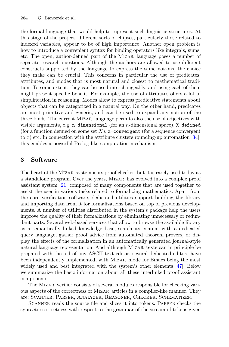the formal language that would help to represent such linguistic structures. At this stage of the project, different sorts of ellipses, particularly those related to indexed variables, appear to be of high importance. Another open problem is how to introduce a convenient syntax for binding operators like integrals, sums, etc. The open, author-defined part of the Mizar language poses a number of separate research questions. Although the authors are allowed to use different constructs supported by the language to express the same notions, the choice they make can be crucial. This concerns in particular the use of predicates, attributes, and modes that is most natural and closest to mathematical tradition. To some extent, they can be used interchangeably, and using each of them might present specific benefit. For example, the use of attributes offers a lot of simplification in reasoning. Modes allow to express predicative statements about objects that can be categorized in a natural way. On the other hand, predicates are most primitive and generic, and can be used to expand any notion of the three kinds. The current Mizar language permits also the use of adjectives with visible arguments, e.g. n-dimensional (for an *n*-dimensional space), X-defined (for a function defined on some set  $X$ ),  $x$ -convergent (for a sequence convergent to  $x$ ) etc. In connection with the attribute clusters rounding-up automation [34], this enables a powerful Prolog-like computation mechanism.

#### 3 Software **3 Software**

The heart of the Mizar system is its proof checker, but it is rarely used today as a standalone program. Over the years, Mizar has evolved into a complex proof assistant system [21] composed of many components that are used together to assist the user in various tasks related to formalizing mathematics. Apart from the core verification software, dedicated utilities support building the library and importing data from it for formalizations based on top of previous developments. A number of utilities distributed in the system's package help the users improve the quality of their formalizations by eliminating unnecessary or redundant parts. Several web-based services that allow to browse the available library as a semantically linked knowledge base, search its content with a dedicated query language, gather proof advice from automated theorem provers, or display the effects of the formalization in an automatically generated journal-style natural language representation. And although Mizar texts can in principle be prepared with the aid of any ASCII text editor, several dedicated editors have been independently implemented, with Mizar mode for Emacs being the most widely used and best integrated with the system's other elements [47]. Below we summarize the basic information about all these interlinked proof assistant components.

The Mizar verifier consists of several modules responsible for checking various aspects of the correctness of Mizar articles in a compiler-like manner. They are: Scanner, Parser, Analyzer, Reasoner, Checker, Schematizer.

Scanner reads the source file and slices it into tokens. Parser checks the syntactic correctness with respect to the grammar of the stream of tokens given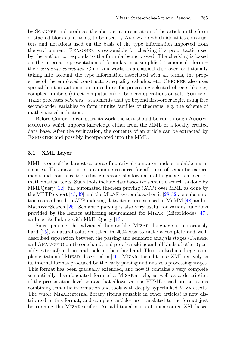by Scanner and produces the abstract representation of the article in the form of stacked blocks and items, to be used by Analyzer which identifies constructors and notations used on the basis of the type information imported from the environment. Reasoner is responsible for checking if a proof tactic used by the author corresponds to the formula being proved. The checking is based on the internal representation of formulas in a simplified "canonical" form – their *semantic correlates*. Checker works as a classical disprover, additionally taking into account the type information associated with all terms, the properties of the employed constructors, equality calculus, etc. Checker also uses special built-in automation procedures for processing selected objects like e.g. complex numbers (direct computation) or boolean operations on sets. SCHEMAtizer processes *schemes* – statements that go beyond first-order logic, using free second-order variables to form infinite families of theorems, e.g. the scheme of mathematical induction.

Before Checker can start its work the text should be run through Accommodator which imports knowledge either from the MML or a locally created data base. After the verification, the contents of an article can be extracted by EXPORTER and possibly incorporated into the MML.

#### **3.1 XML Layer**

MML is one of the largest corpora of nontrivial computer-understandable mathematics. This makes it into a unique resource for all sorts of semantic experiments and assistance tools that go beyond shallow natural-language treatment of mathematical texts. Such tools include database-like semantic search as done by MMLQuery [12], full automated theorem proving (ATP) over MML as done by the MPTP export [45,49] and the MizAR system based on it [28,52], or subsumption search based on ATP indexing data structures as used in MoMM [48] and in MathWebSearch [26]. Semantic parsing is also very useful for various functions provided by the Emacs authoring environment for Mizar (MizarMode) [47], and e.g. its linking with MML Query [13].

Since parsing the advanced human-like Mizar language is notoriously hard  $[15]$ , a natural solution taken in 2004 was to make a complete and welldescribed separation between the parsing and semantic analysis stages (Parser and Analyzer) on the one hand, and proof checking and all kinds of other (possibly external) utilities and tools on the other hand. This resulted in a large reimplementation of Mizar described in [46]. Mizar started to use XML natively as its internal format produced by the early parsing and analysis processing stages. This format has been gradually extended, and now it contains a very complete semantically disambiguated form of a Mizar article, as well as a description of the presentation-level syntax that allows various HTML-based presentations combining semantic information and tools with deeply hyperlinked Mizar texts. The whole MIZAR internal library (items reusable in other articles) is now distributed in this format, and complete articles are translated to the format just by running the Mizar verifier. An additional suite of open-source XSL-based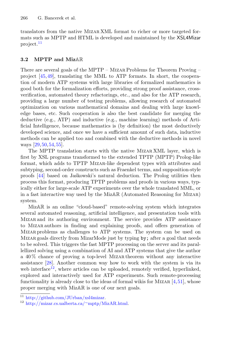translators from the native Mizar XML format to richer or more targeted formats such as MPTP and HTML is developed and maintained by the XSL4Mizar project.<sup>11</sup>

#### **3.2 MPTP and Miz**AR

There are several goals of the MPTP – MizarProblems for Theorem Proving – project [45,49], translating the MML to ATP formats. In short, the cooperation of modern ATP systems with large libraries of formalized mathematics is good both for the formalization efforts, providing strong proof assistance, crossverification, automated theory refactorings, etc., and also for the ATP research, providing a large number of testing problems, allowing research of automated optimization on various mathematical domains and dealing with large knowledge bases, etc. Such cooperation is also the best candidate for merging the deductive (e.g., ATP) and inductive (e.g., machine learning) methods of Artificial Intelligence, because mathematics is (by definition) the most deductively developed science, and once we have a sufficient amount of such data, inductive methods can be applied too and combined with the deductive methods in novel ways [29,50,54,55].

The MPTP translation starts with the native Mizar XML layer, which is first by XSL programs transformed to the extended TPTP (MPTP) Prolog-like format, which adds to TPTP Mizar-like dependent types with attributes and subtyping, second-order constructs such as Fraenkel terms, and supposition-style proofs [44] based on Jaskowski's natural deduction. The Prolog utilities then process this format, producing TPTP problems and proofs in various ways, typically either for large-scale ATP experiments over the whole translated MML, or in a fast interactive way used by the MizAR (Automated Reasoning for Mizar) system.

MizAR is an online "cloud-based" remote-solving system which integrates several automated reasoning, artificial intelligence, and presentation tools with Mizar and its authoring environment. The service provides ATP assistance to Mizar authors in finding and explaining proofs, and offers generation of Mizar problems as challenges to ATP systems. The system can be used on Mizar goals directly from MizarMode just by typing by; after a goal that needs to be solved. This triggers the fast MPTP processing on the server and its parallellized solving using a combination of AI and ATP systems that give the author a 40 % chance of proving a top-level Mizar theorem without any interactive assistance [28]. Another common way how to work with the system is via its web interface<sup>12</sup>, where articles can be uploaded, remotely verified, hyperlinked, explored and interactively used for ATP experiments. Such remote-processing functionality is already close to the ideas of formal wikis for MIZAR  $[4,51]$ , whose proper merging with MizAR is one of our next goals.

[http://github.com/JUrban/xsl4mizar.](http://github.com/JUrban/xsl4mizar)

<sup>12</sup> [http://mizar.cs.ualberta.ca/](http://mizar.cs.ualberta.ca/~mptp/MizAR.html)∼mptp/MizAR.html.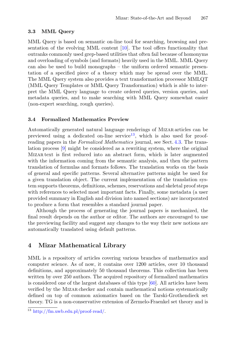#### **3.3 MML Query**

MML Query is based on semantic on-line tool for searching, browsing and presentation of the evolving MML content [10]. The tool offers functionality that outranks commonly used grep-based utilities that often fail because of homonyms and overloading of symbols (and formats) heavily used in the MML. MML Query can also be used to build monographs – the uniform ordered semantic presentation of a specified piece of a theory which may be spread over the MML. The MML Query system also provides a text transformation processor MMLQT (MML Query Templates or MML Query Transformation) which is able to interpret the MML Query language to create ordered queries, version queries, and metadata queries, and to make searching with MML Query somewhat easier (non-expert searching, rough queries).

#### **3.4 Formalized Mathematics Preview**

Automatically generated natural language renderings of Mizar articles can be previewed using a dedicated on-line service<sup>13</sup>, which is also used for proofreading papers in the *Formalized Mathematics* journal, see Sect. 4.3. The translation process [9] might be considered as a rewriting system, where the original Mizar text is first reduced into an abstract form, which is later augmented with the information coming from the semantic analysis, and then the pattern translation of formulas and formats follows. The translation works on the basis of general and specific patterns. Several alternative patterns might be used for a given translation object. The current implementation of the translation system supports theorems, definitions, schemes, reservations and skeletal proof steps with references to selected most important facts. Finally, some metadata (a user provided summary in English and division into named sections) are incorporated to produce a form that resembles a standard journal paper.

Although the process of generating the journal papers is mechanized, the final result depends on the author or editor. The authors are encouraged to use the previewing facility and suggest any changes to the way their new notions are automatically translated using default patterns.

#### $\boldsymbol{4}$ **4 Mizar Mathematical Library**

MML is a repository of articles covering various branches of mathematics and computer science. As of now, it contains over 1200 articles, over 10 thousand definitions, and approximately 50 thousand theorems. This collection has been written by over 250 authors. The acquired repository of formalized mathematics is considered one of the largest databases of this type [60]. All articles have been verified by the Mizar checker and contain mathematical notions systematically defined on top of common axiomatics based on the Tarski-Grothendieck set theory. TG is a non-conservative extension of Zermelo-Fraenkel set theory and is

<sup>13</sup> [http://fm.uwb.edu.pl/proof-read/.](http://fm.uwb.edu.pl/proof-read/)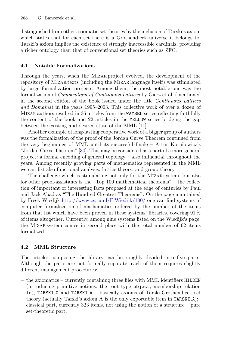distinguished from other axiomatic set theories by the inclusion of Tarski's axiom which states that for each set there is a Grothendieck universe it belongs to. Tarski's axiom implies the existence of strongly inaccessible cardinals, providing a richer ontology than that of conventional set theories such as ZFC.

#### **4.1 Notable Formalizations**

Through the years, when the Mizar project evolved, the development of the repository of Mizar texts (including the Mizar language itself) was stimulated by large formalization projects. Among them, the most notable one was the formalization of *Compendium of Continuous Lattices* by Gierz et al. (mentioned in the second edition of the book issued under the title *Continuous Lattices and Domains*) in the years 1995–2003. This collective work of over a dozen of Mizar authors resulted in 36 articles from the WAYBEL series reflecting faithfully the content of the book and 22 articles in the YELLOW series bridging the gap between the existing and desired state of the MML [11].

Another example of long-lasting cooperative work of a bigger group of authors was the formalization of the proof of the Jordan Curve Theorem continued from the very beginnings of MML until its successful finale  $-$  Artur Korniłowicz's "Jordan Curve Theorem" [30]. This may be considered as a part of a more general project: a formal encoding of general topology – also influential throughout the years. Among recently growing parts of mathematics represented in the MML we can list also functional analysis, lattice theory, and group theory.

The challenge which is stimulating not only for the Mizar system, but also for other proof-assistants is the "Top 100 mathematical theorems" – the collection of important or interesting facts proposed at the edge of centuries by Paul and Jack Abad as "The Hundred Greatest Theorems". On the page maintained by Freek Wiedijk <http://www.cs.ru.nl/F.Wiedijk/100/> one can find systems of computer formalization of mathematics ordered by the number of the items from that list which have been proven in these systems' libraries, covering 91 % of items altogether. Currently, among nine systems listed on the Wiedijk's page, the Mizar system comes in second place with the total number of 62 items formalized.

#### **4.2 MML Structure**

The articles composing the library can be roughly divided into five parts. Although the parts are not formally separate, each of them requires slightly different management procedures:

- the axiomatics currently containing three files with MML identifiers HIDDEN (introducing primitive notions: the root type object, membership relation in), TARSKI 0 and TARSKI A – basically axioms of Tarski-Grothendieck set theory (actually Tarski's axiom A is the only exportable item in TARSKI A);
- classical part, currently 323 items, not using the notion of a structure pure set-theoretic part;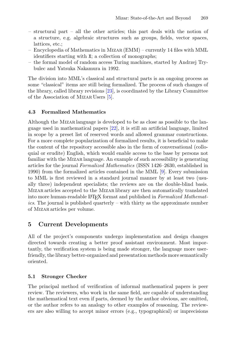- structural part all the other articles; this part deals with the notion of a structure, e.g. algebraic structures such as groups, fields, vector spaces, lattices, etc.;
- Encyclopedia of Mathematics in Mizar (EMM) currently 14 files with MML identifiers starting with X; a collection of monographs;
- the formal model of random access Turing machines, started by Andrzej Trybulec and Yatsuka Nakamura in 1992.

The division into MML's classical and structural parts is an ongoing process as some "classical" items are still being formalized. The process of such changes of the library, called library revisions [23], is coordinated by the Library Committee of the Association of Mizar Users [5].

#### **4.3 Formalized Mathematics**

Although the Mizar language is developed to be as close as possible to the language used in mathematical papers [22], it is still an artificial language, limited in scope by a preset list of reserved words and allowed grammar constructions. For a more complete popularization of formalized results, it is beneficial to make the content of the repository accessible also in the form of conversational (colloquial or erudite) English, which would enable access to the base by persons not familiar with the Mizar language. An example of such accessibility is generating articles for the journal *Formalized Mathematics* (ISSN 1426–2630, established in 1990) from the formalized articles contained in the MML [9]. Every submission to MML is first reviewed in a standard journal manner by at least two (usually three) independent specialists; the reviews are on the double-blind basis. Mizar articles accepted to the Mizar library are then automatically translated into more human-readable LATEX format and published in *Formalized Mathematics*. The journal is published quarterly – with thirty as the approximate number of Mizar articles per volume.

#### $\overline{5}$ **5 Current Developments**

All of the project's components undergo implementation and design changes directed towards creating a better proof assistant environment. Most importantly, the verification system is being made stronger, the language more userfriendly, the library better-organized and presentation methods more semantically oriented.

#### **5.1 Stronger Checker**

The principal method of verification of informal mathematical papers is peer review. The reviewers, who work in the same field, are capable of understanding the mathematical text even if parts, deemed by the author obvious, are omitted, or the author refers to an analogy to other examples of reasoning. The reviewers are also willing to accept minor errors (e.g., typographical) or imprecisions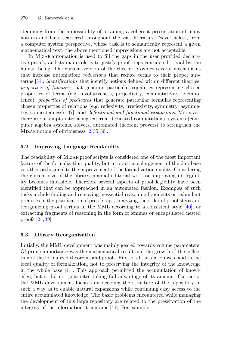stemming from the impossibility of attaining a coherent presentation of many notions and facts scattered throughout the vast literature. Nevertheless, from a computer system perspective, whose task is to semantically represent a given mathematical text, the above mentioned imprecisions are not acceptable.

In Mizar automation is used to fill the gaps in the user provided declarative proofs, and its main role is to justify proof steps considered trivial by the human being. The current version of the checker provides several mechanisms that increase automation: *reductions* that reduce terms to their proper subterms [31]; *identifications* that identify notions defined within different theories; *properties of functors* that generate particular equalities representing chosen properties of terms (e.g. involutiveness, projectivity, commutativity, idempotence); *properties of predicates* that generate particular formulas representing chosen properties of relations (e.g. reflexivity, irreflexivity, symmetry, asymmetry, connectedness) [37]; and *definitional and functional expansions*. Moreover, there are attempts interfacing external dedicated computational systems (computer algebra systems, solvers, automated theorem provers) to strengthen the MIZAR notion of obviousness  $[2,35,36]$ .

#### **5.2 Improving Language Readability**

The readability of Mizar proof scripts is considered one of the most important factors of the formalization quality, but in practice enlargement of the database is rather orthogonal to the improvement of the formalization quality. Considering the current size of the library, manual editorial work on improving its legibility becomes infeasible. Therefore several aspects of proof legibility have been identified that can be approached in an automated fashion. Examples of such tasks include finding and removing inessential reasoning fragments or redundant premises in the justification of proof steps, analyzing the order of proof steps and reorganizing proof scripts in the MML according to a consistent style [40], or extracting fragments of reasoning in the form of lemmas or encapsulated nested proofs [24,39].

#### **5.3 Library Reorganization**

Initially, the MML development was mainly geared towards volume parameters. Of prime importance was the mathematical result and the growth of the collection of the formalized theorems and proofs. First of all, attention was paid to the local quality of formalization, not to preserving the integrity of the knowledge in the whole base [41]. This approach permitted the accumulation of knowledge, but it did not guarantee taking full advantage of its amount. Currently, the MML development focuses on deciding the structure of the repository in such a way as to enable natural expansions while continuing easy access to the entire accumulated knowledge. The basic problems encountered while managing the development of this large repository are related to the preservation of the integrity of the information it contains [41]. For example: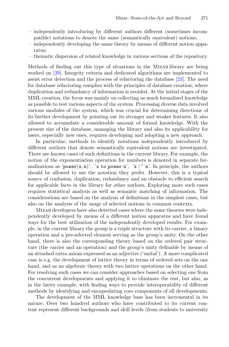- independently introducing by different authors different (sometimes incompatible) notations to denote the same (semantically equivalent) notions;
- independently developing the same theory by means of different notion apparatus;
- thematic dispersion of related knowledge in various sections of the repository.

Methods of finding out this type of situations in the Mizar library are being worked on [39]. Integrity criteria and dedicated algorithms are implemented to assist error detection and the process of refactoring the database [23]. The need for database refactoring complies with the principles of database creation, where duplication and redundancy of information is avoided. At the initial stages of the MML creation, the focus was mainly on collecting as much formalized knowledge as possible to test various aspects of the system. Processing diverse data involved various modules of the system, which was crucial for determining directions of its further development by pointing out its stronger and weaker features. It also allowed to accumulate a considerable amount of formal knowledge. With the present size of the database, managing the library and also its applicability for users, especially new ones, requires developing and adopting a new approach.

In particular, methods to identify notations independently introduced by different authors that denote semantically equivalent notions are investigated. There are known cases of such definitions in the current library. For example, the notion of the exponentiation operation for numbers is denoted in separate formalizations as 'power(x, n)', 'x to power n', 'x |  $\land$  n'. In principle, the authors should be allowed to use the notation they prefer. However, this is a typical source of confusion, duplication, redundancy and an obstacle to efficient search for applicable facts in the library for other authors. Exploring more such cases requires statistical analysis as well as semantic matching of information. The considerations are based on the analysis of definitions in the simplest cases, but also on the analysis of the usage of selected notions in common contexts.

Mizar developers have also detected cases where the same theories were independently developed by means of a different notion apparatus and have found ways for the best utilization of the independently developed results. For example, in the current library the group is a triple structure with its carrier, a binary operation and a pre-selected element serving as the group's unity. On the other hand, there is also the corresponding theory based on the ordered pair structure (the carrier and an operation) and the group's unity definable by means of an attached extra axiom expressed as an adjective ('unital'). A more complicated case is e.g. the development of lattice theory in terms of ordered sets on the one hand, and as an algebraic theory with two lattice operations on the other hand. For resolving such cases we can consider approaches based on selecting one from the concurrent developments and applying it to eliminate the rest, but also, as in the latter example, with finding ways to provide interoperability of different methods by identifying and encapsulating core components of all developments.

The development of the MML knowledge base has been incremental in its nature. Over two hundred authors who have contributed to its current content represent different backgrounds and skill levels (from students to university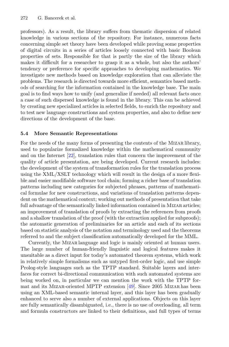professors). As a result, the library suffers from thematic dispersion of related knowledge in various sections of the repository. For instance, numerous facts concerning simple set theory have been developed while proving some properties of digital circuits in a series of articles loosely connected with basic Boolean properties of sets. Responsible for that is partly the size of the library which makes it difficult for a researcher to grasp it as a whole, but also the authors' tendency or preference for specific approaches to developing mathematics. We investigate new methods based on knowledge exploration that can alleviate the problems. The research is directed towards more efficient, semantics based methods of searching for the information contained in the knowledge base. The main goal is to find ways how to unify (and generalize if needed) all relevant facts once a case of such dispersed knowledge is found in the library. This can be achieved by creating new specialized articles in selected fields, to enrich the repository and to test new language constructions and system properties, and also to define new directions of the development of the base.

#### **5.4 More Semantic Representations**

For the needs of the many forms of presenting the contents of the MIZAR library, used to popularize formalized knowledge within the mathematical community and on the Internet [22], translation rules that concern the improvement of the quality of article presentation, are being developed. Current research includes: the development of the system of transformation rules for the translation process using the XML/XSLT technology which will result in the design of a more flexible and easier modifiable software tool chain; forming a richer base of translation patterns including new categories for subjected phrases, patterns of mathematical formulae for new constructions, and variations of translation patterns dependent on the mathematical context; working out methods of presentation that take full advantage of the semantically linked information contained in MIZAR articles; an improvement of translation of proofs by extracting the references from proofs and a shallow translation of the proof (with the extraction applied for subproofs); the automatic generation of preliminaries for an article and each of its sections based on statistic analysis of the notation and terminology used and the theorems referred to and the subject classification automatically developed for the MML.

Currently, the Mizar language and logic is mainly oriented at human users. The large number of human-friendly linguistic and logical features makes it unsuitable as a direct input for today's automated theorem systems, which work in relatively simple formalisms such as untyped first-order logic, and use simple Prolog-style languages such as the TPTP standard. Suitable layers and interfaces for correct bi-directional communication with such automated systems are being worked on, in particular we can mention the work with the TPTP format and its Mizar-oriented MPTP extension [49]. Since 2005 Mizar has been using an XML-based semantic internal layer, and this layer has been gradually enhanced to serve also a number of external applications. Objects on this layer are fully semantically disambiguated, i.e., there is no use of overloading, all term and formula constructors are linked to their definitions, and full types of terms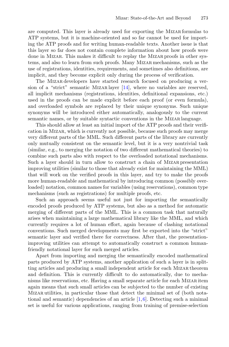are computed. This layer is already used for exporting the Mizar formulas to ATP systems, but it is machine-oriented and so far cannot be used for importing the ATP proofs and for writing human-readable texts. Another issue is that this layer so far does not contain complete information about how proofs were done in Mizar. This makes it difficult to replay the Mizar proofs in other systems, and also to learn from such proofs. Many Mizar mechanisms, such as the use of registrations, identities, requirements, and sometimes also definitions, are implicit, and they become explicit only during the process of verification.

The Mizar developers have started research focused on producing a version of a "strict" semantic Mizar layer [14], where no variables are reserved, all implicit mechanisms (registrations, identities, definitional expansions, etc.) used in the proofs can be made explicit before each proof (or even formula), and overloaded symbols are replaced by their unique synonyms. Such unique synonyms will be introduced either automatically, analogously to the current semantic names, or by suitable syntactic conventions in the Mizar language.

This should allow at least an initial import of the ATP proofs and their verification in Mizar, which is currently not possible, because such proofs may merge very different parts of the MML. Such different parts of the library are currently only mutually consistent on the semantic level, but it is a very nontrivial task (similar, e.g., to merging the notation of two different mathematical theories) to combine such parts also with respect to the overloaded notational mechanisms. Such a layer should in turn allow to construct a chain of Mizar presentation improving utilities (similar to those that already exist for maintaining the MML) that will work on the verified proofs in this layer, and try to make the proofs more human-readable and mathematical by introducing common (possibly overloaded) notation, common names for variables (using reservations), common type mechanisms (such as registrations) for multiple proofs, etc.

Such an approach seems useful not just for importing the semantically encoded proofs produced by ATP systems, but also as a method for automatic merging of different parts of the MML. This is a common task that naturally arises when maintaining a large mathematical library like the MML, and which currently requires a lot of human effort, again because of clashing notational conventions. Such merged developments may first be exported into the "strict" semantic layer and verified there for correctness. After that, the presentationimproving utilities can attempt to automatically construct a common humanfriendly notational layer for such merged articles.

Apart from importing and merging the semantically encoded mathematical parts produced by ATP systems, another application of such a layer is in splitting articles and producing a small independent article for each Mizar theorem and definition. This is currently difficult to do automatically, due to mechanisms like reservations, etc. Having a small separate article for each Mizar item again means that such small articles can be subjected to the number of existing Mizar utilities, in particular those that detect the minimal set of (both notational and semantic) dependencies of an article  $[1,6]$ . Detecting such a minimal set is useful for various applications, ranging from training of premise-selection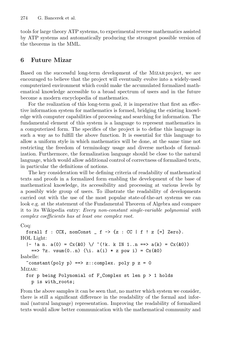tools for large theory ATP systems, to experimental reverse mathematics assisted by ATP systems and automatically producing the strongest possible version of the theorems in the MML.

#### 6 Future Mizar

Based on the successful long-term development of the Mizar project, we are encouraged to believe that the project will eventually evolve into a widely-used computerized environment which could make the accumulated formalized mathematical knowledge accessible to a broad spectrum of users and in the future become a modern encyclopedia of mathematics.

For the realization of this long-term goal, it is imperative that first an effective information system for mathematics is formed, bridging the existing knowledge with computer capabilities of processing and searching for information. The fundamental element of this system is a language to represent mathematics in a computerized form. The specifics of the project is to define this language in such a way as to fulfill the above function. It is essential for this language to allow a uniform style in which mathematics will be done, at the same time not restricting the freedom of terminology usage and diverse methods of formalization. Furthermore, the formalization language should be close to the natural language, which would allow additional control of correctness of formalized texts, in particular the definitions of notions.

The key consideration will be defining criteria of readability of mathematical texts and proofs in a formalized form enabling the development of the base of mathematical knowledge, its accessibility and processing at various levels by a possibly wide group of users. To illustrate the readability of developments carried out with the use of the most popular state-of-the-art systems we can look e.g. at the statement of the Fundamental Theorem of Algebra and compare it to its Wikipedia entry: *Every non-constant single-variable polynomial with complex coefficients has at least one complex root.*

Coq:

```
forall f : CCX, nonConst _ f -> {z : CC | f ! z [=] Zero}.
HOL Light:
  |- !a n. a(0) = Cx(k0) \/ "(!k. k IN 1..n ==> a(k) = Cx(k0))
    \Rightarrow ?z. vsum(0..n) (\i. a(i) * z pow i) = Cx(&0)Isabelle:
  \tilde{c}constant(poly p) ==> z::complex. poly p z = 0
```
Mizar:

```
for p being Polynomial of F_Complex st len p > 1 holds
  p is with_roots;
```
From the above samples it can be seen that, no matter which system we consider, there is still a significant difference in the readability of the formal and informal (natural language) representation. Improving the readability of formalized texts would allow better communication with the mathematical community and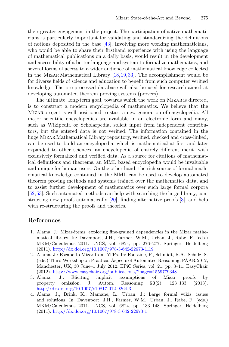their greater engagement in the project. The participation of active mathematicians is particularly important for validating and standardizing the definitions of notions deposited in the base [43]. Involving more working mathematicians, who would be able to share their firsthand experience with using the language of mathematical publications on a daily basis, would result in the development and accessibility of a better language and system to formalize mathematics, and several forms of access to a wider audience of mathematical knowledge collected in the Mizar Mathematical Library [18,19,33]. The accomplishment would be for diverse fields of science and education to benefit from such computer verified knowledge. The pre-processed database will also be used for research aimed at developing automated theorem proving systems (provers).

The ultimate, long-term goal, towards which the work on Mizar is directed, is to construct a modern encyclopedia of mathematics. We believe that the Mizar project is well positioned to start a new generation of encyclopedia. All major scientific encyclopedias are available in an electronic form and many, such as Wikipedia or Scholarpedia, solicit input from independent contributors, but the entered data is not verified. The information contained in the huge Mizar Mathematical Library repository, verified, checked and cross-linked, can be used to build an encyclopedia, which is mathematical at first and later expanded to other sciences, an encyclopedia of entirely different merit, with exclusively formalized and verified data. As a source for citations of mathematical definitions and theorems, an MML based encyclopedia would be invaluable and unique for human users. On the other hand, the rich source of formal mathematical knowledge contained in the MML can be used to develop automated theorem proving methods and systems trained over the mathematics data, and to assist further development of mathematics over such large formal corpora [52,53]. Such automated methods can help with searching the large library, constructing new proofs automatically [20], finding alternative proofs [3], and help with re-structuring the proofs and theories.

## **References**

- 1. Alama, J.: Mizar-items: exploring fine-grained dependencies in the Mizar mathematical library. In: Davenport, J.H., Farmer, W.M., Urban, J., Rabe, F. (eds.) MKM/Calculemus 2011. LNCS, vol. 6824, pp. 276–277. Springer, Heidelberg (2011). [http://dx.doi.org/10.1007/978-3-642-22673-1](http://dx.doi.org/10.1007/978-3-642-22673-1_19) 19
- 2. Alama, J.: Escape to Mizar from ATPs. In: Fontaine, P., Schmidt, R.A., Schulz, S. (eds.) Third Workshop on Practical Aspects of Automated Reasoning, PAAR-2012, Manchester, UK, 30 June–1 July 2012. EPiC Series, vol. 21, pp. 3–11. EasyChair (2012). <http://www.easychair.org/publications/?page=1559779348>
- 3. Alama, J.: Eliciting implicit assumptions of Mizar proofs by property omission. J. Autom. Reasoning **50**(2), 123–133 (2013). <http://dx.doi.org/10.1007/s10817-012-9264-3>
- 4. Alama, J., Brink, K., Mamane, L., Urban, J.: Large formal wikis: issues and solutions. In: Davenport, J.H., Farmer, W.M., Urban, J., Rabe, F. (eds.) MKM/Calculemus 2011. LNCS, vol. 6824, pp. 133–148. Springer, Heidelberg (2011). <http://dx.doi.org/10.1007/978-3-642-22673-1>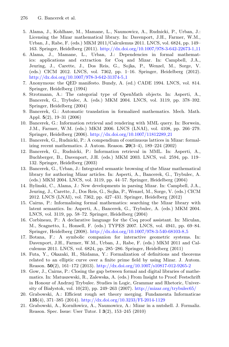- 5. Alama, J., Kohlhase, M., Mamane, L., Naumowicz, A., Rudnicki, P., Urban, J.: Licensing the Mizar mathematical library. In: Davenport, J.H., Farmer, W.M., Urban, J., Rabe, F. (eds.) MKM 2011/Calculemus 2011. LNCS, vol. 6824, pp. 149– 163. Springer, Heidelberg (2011). [http://dx.doi.org/10.1007/978-3-642-22673-1](http://dx.doi.org/10.1007/978-3-642-22673-1_11) 11
- 6. Alama, J., Mamane, L., Urban, J.: Dependencies in formal mathematics: applications and extraction for Coq and Mizar. In: Campbell, J.A., Jeuring, J., Carette, J., Dos Reis, G., Sojka, P., Wenzel, M., Sorge, V. (eds.) CICM 2012. LNCS, vol. 7362, pp. 1–16. Springer, Heidelberg (2012). [http://dx.doi.org/10.1007/978-3-642-31374-5](http://dx.doi.org/10.1007/978-3-642-31374-5_1)<sub>-1</sub>
- 7. Anonymous: the QED manifesto. Bundy, A. (ed.) CADE 1994. LNCS, vol. 814. Springer, Heidelberg (1994)
- 8. Strotmann, A.: The categorial type of OpenMath objects. In: Asperti, A., Bancerek, G., Trybulec, A. (eds.) MKM 2004. LNCS, vol. 3119, pp. 378–392. Springer, Heidelberg (2004)
- 9. Bancerek, G.: Automatic translation in formalized mathematics. Mech. Math. Appl. **5**(2), 19–31 (2006)
- 10. Bancerek, G.: Information retrieval and rendering with MML query. In: Borwein, J.M., Farmer, W.M. (eds.) MKM 2006. LNCS (LNAI), vol. 4108, pp. 266–279. Springer, Heidelberg (2006). [http://dx.doi.org/10.1007/11812289](http://dx.doi.org/10.1007/11812289_21) 21
- 11. Bancerek, G., Rudnicki, P.: A compendium of continuous lattices in Mizar: formalizing recent mathematics. J. Autom. Reason. **29**(3–4), 189–224 (2002)
- 12. Bancerek, G., Rudnicki, P.: Information retrieval in MML. In: Asperti, A., Buchberger, B., Davenport, J.H. (eds.) MKM 2003. LNCS, vol. 2594, pp. 119– 132. Springer, Heidelberg (2003)
- 13. Bancerek, G., Urban, J.: Integrated semantic browsing of the Mizar mathematical library for authoring Mizar articles. In: Asperti, A., Bancerek, G., Trybulec, A. (eds.) MKM 2004. LNCS, vol. 3119, pp. 44–57. Springer, Heidelberg (2004)
- 14. Bylinski, C., Alama, J.: New developments in parsing Mizar. In: Campbell, J.A., Jeuring, J., Carette, J., Dos Reis, G., Sojka, P., Wenzel, M., Sorge, V. (eds.) CICM 2012. LNCS (LNAI), vol. 7362, pp. 427–431. Springer, Heidelberg (2012)
- 15. Cairns, P.: Informalising formal mathematics: searching the Mizar library with latent semantics. In: Asperti, A., Bancerek, G., Trybulec, A. (eds.) MKM 2004. LNCS, vol. 3119, pp. 58–72. Springer, Heidelberg (2004)
- 16. Corbineau, P.: A declarative language for the Coq proof assistant. In: Miculan, M., Scagnetto, I., Honsell, F. (eds.) TYPES 2007. LNCS, vol. 4941, pp. 69–84. Springer, Heidelberg (2008). [http://dx.doi.org/10.1007/978-3-540-68103-8](http://dx.doi.org/10.1007/978-3-540-68103-8_5) 5
- 17. Botana, F.: A symbolic companion for interactive geometric systems. In: Davenport, J.H., Farmer, W.M., Urban, J., Rabe, F. (eds.) MKM 2011 and Calculemus 2011. LNCS, vol. 6824, pp. 285–286. Springer, Heidelberg (2011)
- 18. Futa, Y., Okazaki, H., Shidama, Y.: Formalization of definitions and theorems related to an elliptic curve over a finite prime field by using Mizar. J. Autom. Reason. **50**(2), 161–172 (2013). <http://dx.doi.org/10.1007/s10817-012-9265-2>
- 19. Gow, J., Cairns, P.: Closing the gap between formal and digital libraries of mathematics. In: Matuszewski, R., Zalewska, A. (eds.) From Insight to Proof: Festschrift in Honour of Andrzej Trybulec. Studies in Logic, Grammar and Rhetoric, University of Białystok, vol. 10(23), pp. 249–263 (2007).  $\frac{\text{http://mixar.org/trybulec65/}}{\text{http://mixar.org/trybulec65/}}$
- 20. Grabowski, A.: Efficient rough set theory merging. Fundamenta Informaticae **135**(4), 371–385 (2014). <http://dx.doi.org/10.3233/FI-2014-1129>
- 21. Grabowski, A., Korniłowicz, A., Naumowicz, A.: Mizar in a nutshell. J. Formaliz. Reason. Spec. Issue: User Tutor. I **3**(2), 153–245 (2010)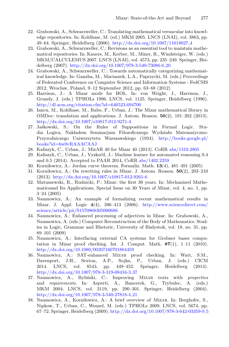- 22. Grabowski, A., Schwarzweller, C.: Translating mathematical vernacular into knowledge repositories. In: Kohlhase, M. (ed.) MKM 2005. LNCS (LNAI), vol. 3863, pp. 49–64. Springer, Heidelberg (2006). [http://dx.doi.org/10.1007/11618027](http://dx.doi.org/10.1007/11618027_4) 4
- 23. Grabowski, A., Schwarzweller, C.: Revisions as an essential tool to maintain mathematical repositories. In: Kauers, M., Kerber, M., Miner, R., Windsteiger, W. (eds.) MKM/CALCULEMUS 2007. LNCS (LNAI), vol. 4573, pp. 235–249. Springer, Heidelberg (2007). [http://dx.doi.org/10.1007/978-3-540-73086-6](http://dx.doi.org/10.1007/978-3-540-73086-6_20) 20
- 24. Grabowski, A., Schwarzweller, C.: Towards automatically categorizing mathematical knowledge. In: Ganzha, M., Maciaszek, L.A., Paprzycki, M. (eds.) Proceedings of Federated Conference on Computer Science and Information Systems - FedCSIS 2012, Wroclaw, Poland, 9–12 September 2012, pp. 63–68 (2012)
- 25. Harrison, J.: A Mizar mode for HOL. In: von Wright, J., Harrison, J., Grundy, J. (eds.) TPHOLs 1996. LNCS, vol. 1125. Springer, Heidelberg (1996). <http://dl.acm.org/citation.cfm?id=646523.694700>
- 26. Iancu, M., Kohlhase, M., Rabe, F., Urban, J.: The Mizar mathematical library in OMDoc: translation and applications. J. Autom. Reason. **50**(2), 191–202 (2013). <http://dx.doi.org/10.1007/s10817-012-9271-4>
- 27. Ja´skowski, S.: On the Rules of Suppositions in Formal Logic. Studia Logica, Nakładem Seminarjum Filozoficznego Wydziału Matematyczno-Przyrodniczego Uniwersytetu Warszawskiego (1934). [http://books.google.pl/](http://books.google.pl/books?id=6w0vRAAACAAJ) [books?id=6w0vRAAACAAJ](http://books.google.pl/books?id=6w0vRAAACAAJ)
- 28. Kaliszyk, C., Urban, J.: MizAR 40 for Mizar 40 (2013). CoRR [abs/1310.2805](http://arxiv.org/abs/1310.2805)
- 29. Kaliszyk, C., Urban, J., Vyskočil, J.: Machine learner for automated reasoning 0.4 and 0.5 (2014). Accepted to PAAR 2014, CoRR [abs/1402.2359](http://arxiv.org/abs/1402.2359)
- 30. Kornibowicz, A.: Jordan curve theorem. Formaliz. Math. **13**(4), 481–491 (2005)
- 31. Korniłowicz, A.: On rewriting rules in Mizar. J. Autom. Reason.  $\mathbf{50}(2)$ , 203–210 (2013). <http://dx.doi.org/10.1007/s10817-012-9261-6>
- 32. Matuszewski, R., Rudnicki, P.: Mizar: the first 30 years. In: Mechanized Mathematicsand Its Applications, Special Issue on 30 Years of Mizar, vol. 4, no. 1, pp. 3–24 (2005)
- 33. Naumowicz, A.: An example of formalizing recent mathematical results in Mizar. J. Appl. Logic **4**(4), 396–413 (2006). [http://www.sciencedirect.com/](http://www.sciencedirect.com/science/article/pii/S1570868305000686) [science/article/pii/S1570868305000686](http://www.sciencedirect.com/science/article/pii/S1570868305000686)
- 34. Naumowicz, A.: Enhanced processing of adjectives in Mizar. In: Grabowski, A., Naumowicz, A. (eds.) Computer Reconstruction of the Body of Mathematics. Studies in Logic, Grammar and Rhetoric, University of Białystok, vol. 18, no. 31, pp. 89–101 (2009)
- 35. Naumowicz, A.: Interfacing external CA systems for Grobner bases computation in Mizar proof checking. Int. J. Comput. Math. **87**(1), 1–11 (2010). <http://dx.doi.org/10.1080/00207160701864459>
- 36. Naumowicz, A.: SAT-enhanced Mizar proof checking. In: Watt, S.M., Davenport, J.H., Sexton, A.P., Sojka, P., Urban, J. (eds.) CICM 2014. LNCS, vol. 8543, pp. 449–452. Springer, Heidelberg (2014). [http://dx.doi.org/10.1007/978-3-319-08434-3](http://dx.doi.org/10.1007/978-3-319-08434-3_37) 37
- 37. Naumowicz, A., Byliński, C.: Improving Mizar texts with *properties* and *requirements*. In: Asperti, A., Bancerek, G., Trybulec, A. (eds.) and *requirements*. In: Asperti, A., Bancerek, G., Trybulec, A. (eds.) MKM 2004. LNCS, vol. 3119, pp. 290–301. Springer, Heidelberg (2004). [http://dx.doi.org/10.1007/978-3-540-27818-4](http://dx.doi.org/10.1007/978-3-540-27818-4_21) 21
- 38. Naumowicz, A., Korniłowicz, A.: A brief overview of MIZAR. In: Berghofer, S., Nipkow, T., Urban, C., Wenzel, M. (eds.) TPHOLs 2009. LNCS, vol. 5674, pp. 67–72. Springer, Heidelberg (2009). [http://dx.doi.org/10.1007/978-3-642-03359-9](http://dx.doi.org/10.1007/978-3-642-03359-9_5) 5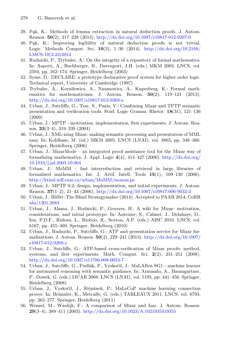- 39. Pak, K.: Methods of lemma extraction in natural deduction proofs. J. Autom. Reason. **50**(2), 217–228 (2013). <http://dx.doi.org/10.1007/s10817-012-9267-0>
- 40. Pąk, K.: Improving legibility of natural deduction proofs is not trivial. Logic. Methods Comput. Sci. **10**(3), 1–30 (2014). [http://dx.doi.org/10.2168/](http://dx.doi.org/10.2168/LMCS-10(3:23)2014) [LMCS-10\(3:23\)2014](http://dx.doi.org/10.2168/LMCS-10(3:23)2014)
- 41. Rudnicki, P., Trybulec, A.: On the integrity of a repository of formal mathematics. In: Asperti, A., Buchberger, B., Davenport, J.H. (eds.) MKM 2003. LNCS, vol. 2594, pp. 162–174. Springer, Heidelberg (2003)
- 42. Syme, D.: DECLARE: a prototype declarative proof system for higher order logic. Technical report, University of Cambridge (1997)
- 43. Trybulec, A., Korniłowicz, A., Naumowicz, A., Kuperberg, K.: Formal mathematics for mathematicians. J. Autom. Reason. **50**(2), 119–121 (2013). <http://dx.doi.org/10.1007/s10817-012-9268-z>
- 44. Urban, J., Sutcliffe, G., Trac, S., Puzis, Y.: Combining Mizar and TPTP semantic presentation and verification tools. Stud. Logic Gramm. Rhetor. **18**(31), 121–136 (2009)
- 45. Urban, J.: MPTP motivation, implementation, first experiments. J. Autom. Reason. **33**(3–4), 319–339 (2004)
- 46. Urban, J.: XML-izing Mizar: making semantic processing and presentation of MML easy. In: Kohlhase, M. (ed.) MKM 2005. LNCS (LNAI), vol. 3863, pp. 346–360. Springer, Heidelberg (2006)
- 47. Urban, J.: MizarMode an integrated proof assistance tool for the Mizar way of formalizing mathematics. J. Appl. Logic **4**(4), 414–427 (2006). [http://dx.doi.org/](http://dx.doi.org/10.1016/j.jal.2005.10.004) [10.1016/j.jal.2005.10.004](http://dx.doi.org/10.1016/j.jal.2005.10.004)
- 48. Urban, J.: MoMM fast interreduction and retrieval in large libraries of formalized mathematics. Int. J. Artif. Intell. Tools **15**(1), 109–130 (2006). <http://ktiml.mff.cuni.cz/urban/MoMM/momm.ps>
- 49. Urban, J.: MPTP 0.2: design, implementation, and initial experiments. J. Autom. Reason. **37**(1–2), 21–43 (2006). <http://dx.doi.org/10.1007/s10817-006-9032-3>
- 50. Urban, J.: BliStr: The Blind Strategymaker (2014). Accepted to PAAR 2014, CoRR [abs/1301.2683](http://arxiv.org/abs/1301.2683)
- 51. Urban, J., Alama, J., Rudnicki, P., Geuvers, H.: A wiki for Mizar: motivation, considerations, and initial prototype. In: Autexier, S., Calmet, J., Delahaye, D., Ion, P.D.F., Rideau, L., Rioboo, R., Sexton, A.P. (eds.) AISC 2010. LNCS, vol. 6167, pp. 455–469. Springer, Heidelberg (2010)
- 52. Urban, J., Rudnicki, P., Sutcliffe, G.: ATP and presentation service for Mizar formalizations. J. Autom. Reason. **50**(2), 229–241 (2013). [http://dx.doi.org/10.1007/](http://dx.doi.org/10.1007/s10817-012-9269-y) [s10817-012-9269-y](http://dx.doi.org/10.1007/s10817-012-9269-y)
- 53. Urban, J., Sutcliffe, G.: ATP-based cross-verification of Mizar proofs: method, systems, and first experiments. Math. Comput. Sci. **2**(2), 231–251 (2008). <http://dx.doi.org/10.1007/s11786-008-0053-7>
- 54. Urban, J., Sutcliffe, G., Pudlák, P., Vyskočil, J.: MaLARea SG1 machine learner for automated reasoning with semantic guidance. In: Armando, A., Baumgartner, P., Dowek, G. (eds.) IJCAR 2008. LNCS (LNAI), vol. 5195, pp. 441–456. Springer, Heidelberg (2008)
- 55. Urban, J., Vyskočil, J., Štěpánek, P.: MaLeCoP machine learning connection prover. In: Brünnler, K., Metcalfe, G. (eds.) TABLEAUX 2011. LNCS, vol. 6793, pp. 263–277. Springer, Heidelberg (2011)
- 56. Wenzel, M., Wiedijk, F.: A comparison of Mizar and Isar. J. Autom. Reason. **29**(3–4), 389–411 (2003). <http://dx.doi.org/10.1023/A:1021935419355>